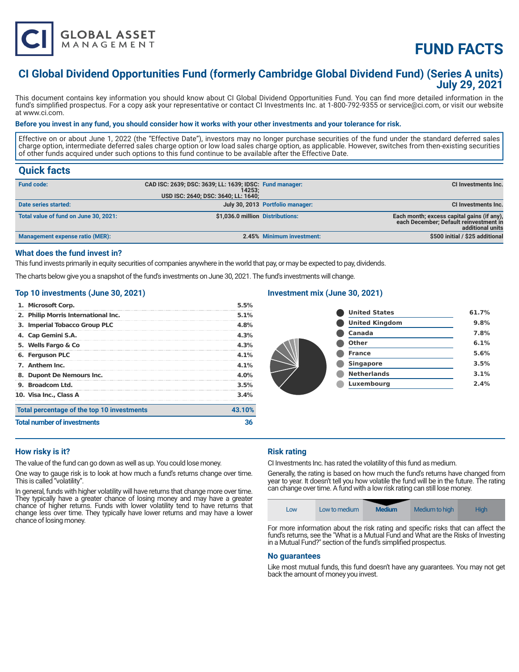

# **FUND FACTS**

# **CI Global Dividend Opportunities Fund (formerly Cambridge Global Dividend Fund) (Series A units) July 29, 2021**

This document contains key information you should know about CI Global Dividend Opportunities Fund. You can find more detailed information in the fund's simplified prospectus. For a copy ask your representative or contact CI Investments Inc. at 1-800-792-9355 or service@ci.com, or visit our website at www.ci.com.

#### **Before you invest in any fund, you should consider how it works with your other investments and your tolerance for risk.**

Effective on or about June 1, 2022 (the "Effective Date"), investors may no longer purchase securities of the fund under the standard deferred sales charge option, intermediate deferred sales charge option or low load sales charge option, as applicable. However, switches from then-existing securities of other funds acquired under such options to this fund continue to be available after the Effective Date.

# **Quick facts**

| <b>Fund code:</b>                     | CAD ISC: 2639; DSC: 3639; LL: 1639; IDSC: Fund manager:<br>14253:<br>USD ISC: 2640; DSC: 3640; LL: 1640; |                                  | CI Investments Inc.                                                                                      |
|---------------------------------------|----------------------------------------------------------------------------------------------------------|----------------------------------|----------------------------------------------------------------------------------------------------------|
| Date series started:                  |                                                                                                          | July 30, 2013 Portfolio manager: | <b>CI Investments Inc.</b>                                                                               |
| Total value of fund on June 30, 2021: | \$1,036.0 million Distributions:                                                                         |                                  | Each month; excess capital gains (if any),<br>each December; Default reinvestment in<br>additional units |
| Management expense ratio (MER):       |                                                                                                          | 2.45% Minimum investment:        | \$500 initial / \$25 additional                                                                          |

# **What does the fund invest in?**

This fund invests primarily in equity securities of companies anywhere in the world that pay, or may be expected to pay, dividends.

The charts below give you a snapshot of the fund's investments on June 30, 2021. The fund's investments will change.

# **Top 10 investments (June 30, 2021)**

| Total percentage of the top 10 investments<br><b>Total number of investments</b> |                                     |         |
|----------------------------------------------------------------------------------|-------------------------------------|---------|
|                                                                                  |                                     | 43.10%  |
|                                                                                  | 10. Visa Inc., Class A              | 3.4%    |
|                                                                                  | 9. Broadcom Ltd.                    | 3.5%    |
|                                                                                  | 8. Dupont De Nemours Inc.           | $4.0\%$ |
|                                                                                  | 7. Anthem Inc.                      | 4.1%    |
|                                                                                  | 6. Ferguson PLC                     | 4.1%    |
|                                                                                  | 5. Wells Fargo & Co                 | 4.3%    |
|                                                                                  | 4. Cap Gemini S.A.                  | 4.3%    |
|                                                                                  | 3. Imperial Tobacco Group PLC       | 4.8%    |
|                                                                                  | 2. Philip Morris International Inc. | 5.1%    |
|                                                                                  | 1. Microsoft Corp.                  | 5.5%    |

# **Investment mix (June 30, 2021)**

| <b>United States</b>  | 61.7% |
|-----------------------|-------|
| <b>United Kingdom</b> | 9.8%  |
| Canada                | 7.8%  |
| <b>Other</b>          | 6.1%  |
| <b>France</b>         | 5.6%  |
| <b>Singapore</b>      | 3.5%  |
| <b>Netherlands</b>    | 3.1%  |
| Luxembourg            | 2.4%  |
|                       |       |

# **How risky is it?**

The value of the fund can go down as well as up. You could lose money.

One way to gauge risk is to look at how much a fund's returns change over time. This is called "volatility".

In general, funds with higher volatility will have returns that change more over time. They typically have a greater chance of losing money and may have a greater chance of higher returns. Funds with lower volatility tend to have returns that change less over time. They typically have lower returns and may have a lower chance of losing money.

# **Risk rating**

CI Investments Inc. has rated the volatility of this fund as medium.

Generally, the rating is based on how much the fund's returns have changed from year to year. It doesn't tell you how volatile the fund will be in the future. The rating can change over time. A fund with a low risk rating can still lose money.



For more information about the risk rating and specific risks that can affect the fund's returns, see the "What is a Mutual Fund and What are the Risks of Investing in a Mutual Fund?" section of the fund's simplified prospectus.

#### **No guarantees**

Like most mutual funds, this fund doesn't have any guarantees. You may not get back the amount of money you invest.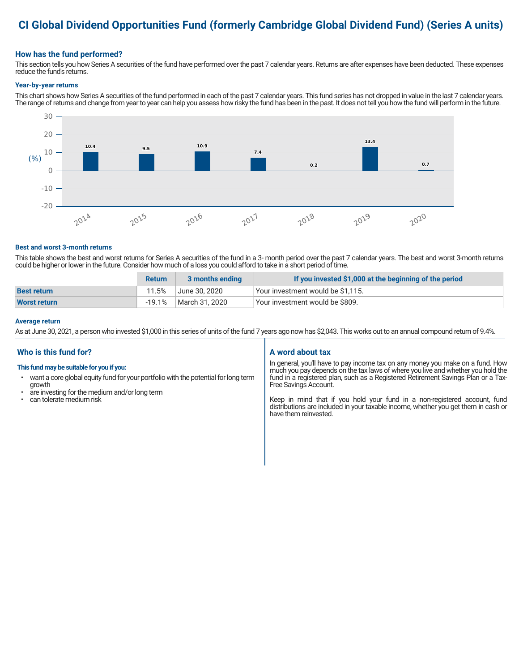# **CI Global Dividend Opportunities Fund (formerly Cambridge Global Dividend Fund) (Series A units)**

# **How has the fund performed?**

This section tells you how Series A securities of the fund have performed over the past 7 calendar years. Returns are after expenses have been deducted. These expenses reduce the fund's returns.

#### **Year-by-year returns**

This chart shows how Series A securities of the fund performed in each of the past 7 calendar years. This fund series has not dropped in value in the last 7 calendar years. The range of returns and change from year to year can help you assess how risky the fund has been in the past. It does not tell you how the fund will perform in the future.



#### **Best and worst 3-month returns**

This table shows the best and worst returns for Series A securities of the fund in a 3- month period over the past 7 calendar years. The best and worst 3-month returns could be higher or lower in the future. Consider how much of a loss you could afford to take in a short period of time.

|                     | <b>Return</b> | 3 months ending | If you invested \$1,000 at the beginning of the period |
|---------------------|---------------|-----------------|--------------------------------------------------------|
| <b>Best return</b>  | 11.5%         | June 30. 2020   | Your investment would be \$1,115.                      |
| <b>Worst return</b> | $-19.1%$      | March 31, 2020  | Vour investment would be \$809.                        |

#### **Average return**

As at June 30, 2021, a person who invested \$1,000 in this series of units of the fund 7 years ago now has \$2,043. This works out to an annual compound return of 9.4%.

# **Who is this fund for?**

# **This fund may be suitable for you if you:**

- want a core global equity fund for your portfolio with the potential for long term growth
- are investing for the medium and/or long term<br>• can tolerate medium risk
- can tolerate medium risk

# **A word about tax**

In general, you'll have to pay income tax on any money you make on a fund. How much you pay depends on the tax laws of where you live and whether you hold the fund in a registered plan, such as a Registered Retirement Savings Plan or a Tax-Free Savings Account.

Keep in mind that if you hold your fund in a non-registered account, fund distributions are included in your taxable income, whether you get them in cash or have them reinvested.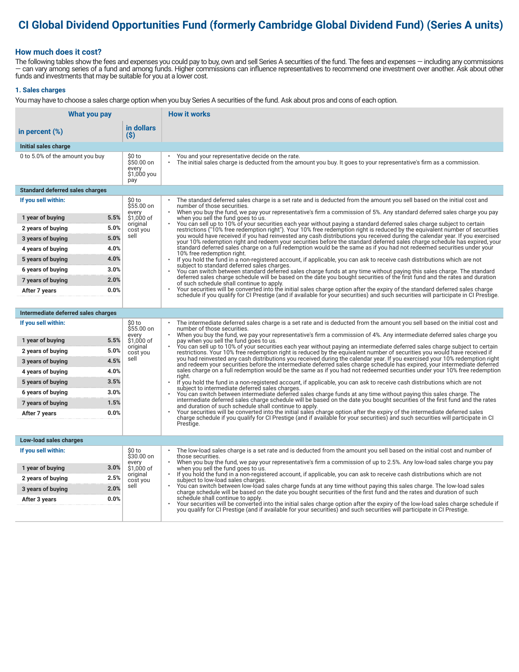# **CI Global Dividend Opportunities Fund (formerly Cambridge Global Dividend Fund) (Series A units)**

# **How much does it cost?**

The following tables show the fees and expenses you could pay to buy, own and sell Series A securities of the fund. The fees and expenses — including any commissions — can vary among series of a fund and among funds. Higher commissions can influence representatives to recommend one investment over another. Ask about other funds and investments that may be suitable for you at a lower cost.

#### **1. Sales charges**

You may have to choose a sales charge option when you buy Series A securities of the fund. Ask about pros and cons of each option.

| What you pay                           |                                                     | <b>How it works</b>                                                                                                                                                                                                                                                                     |  |  |
|----------------------------------------|-----------------------------------------------------|-----------------------------------------------------------------------------------------------------------------------------------------------------------------------------------------------------------------------------------------------------------------------------------------|--|--|
| in percent (%)                         | in dollars<br>(S)                                   |                                                                                                                                                                                                                                                                                         |  |  |
| Initial sales charge                   |                                                     |                                                                                                                                                                                                                                                                                         |  |  |
| 0 to 5.0% of the amount you buy        | \$0 to<br>\$50.00 on<br>every<br>\$1,000 you<br>pay | You and your representative decide on the rate.<br>$\bullet$<br>The initial sales charge is deducted from the amount you buy. It goes to your representative's firm as a commission.                                                                                                    |  |  |
| <b>Standard deferred sales charges</b> |                                                     |                                                                                                                                                                                                                                                                                         |  |  |
| If you sell within:                    | \$0 to<br>\$55.00 on                                | The standard deferred sales charge is a set rate and is deducted from the amount you sell based on the initial cost and<br>number of those securities.                                                                                                                                  |  |  |
| 5.5%<br>1 year of buying               | every<br>\$1,000 of<br>original                     | When you buy the fund, we pay your representative's firm a commission of 5%. Any standard deferred sales charge you pay<br>when you sell the fund goes to us.<br>You can sell up to 10% of your securities each year without paying a standard deferred sales charge subject to certain |  |  |
| 5.0%<br>2 years of buying              | cost you<br>sell                                    | restrictions ("10% free redemption right"). Your 10% free redemption right is reduced by the equivalent number of securities<br>you would have received if you had reinvested any cash distributions you received during the calendar year. If you exercised                            |  |  |
| 5.0%<br>3 years of buying              |                                                     | your 10% redemption right and redeem your securities before the standard deferred sales charge schedule has expired, your                                                                                                                                                               |  |  |
| 4.0%<br>4 years of buying              |                                                     | standard deferred sales charge on a full redemption would be the same as if you had not redeemed securities under your<br>10% free redemption right.                                                                                                                                    |  |  |
| 4.0%<br>5 years of buying              |                                                     | If you hold the fund in a non-registered account, if applicable, you can ask to receive cash distributions which are not<br>$\bullet$<br>subject to standard deferred sales charges.                                                                                                    |  |  |
| 3.0%<br>6 years of buying              |                                                     | You can switch between standard deferred sales charge funds at any time without paying this sales charge. The standard<br>deferred sales charge schedule will be based on the date you bought securities of the first fund and the rates and duration                                   |  |  |
| 2.0%<br>7 years of buying              |                                                     | of such schedule shall continue to apply.<br>Your securities will be converted into the initial sales charge option after the expiry of the standard deferred sales charge                                                                                                              |  |  |
| 0.0%<br>After 7 years                  |                                                     | schedule if you qualify for CI Prestige (and if available for your securities) and such securities will participate in CI Prestige.                                                                                                                                                     |  |  |
|                                        |                                                     |                                                                                                                                                                                                                                                                                         |  |  |
| Intermediate deferred sales charges    |                                                     |                                                                                                                                                                                                                                                                                         |  |  |
| If you sell within:                    | \$0 to<br>\$55.00 on<br>every                       | The intermediate deferred sales charge is a set rate and is deducted from the amount you sell based on the initial cost and<br>number of those securities.<br>When you buy the fund, we pay your representative's firm a commission of 4%. Any intermediate deferred sales charge you   |  |  |
| 5.5%<br>1 year of buying               | \$1,000 of<br>original                              | pay when you sell the fund goes to us.<br>You can sell up to 10% of your securities each year without paying an intermediate deferred sales charge subject to certain                                                                                                                   |  |  |
| 5.0%<br>2 years of buying              | cost you                                            | restrictions. Your 10% free redemption right is reduced by the equivalent number of securities you would have received if                                                                                                                                                               |  |  |
| 4.5%<br>3 years of buying              | sell                                                | you had reinvested any cash distributions you received during the calendar year. If you exercised your 10% redemption right<br>and redeem your securities before the intermediate deferred sales charge schedule has expired, your intermediate deferred                                |  |  |
| 4.0%<br>4 years of buying              |                                                     | sales charge on a full redemption would be the same as if you had not redeemed securities under your 10% free redemption<br>riaht.                                                                                                                                                      |  |  |
| 3.5%<br>5 years of buying              |                                                     | If you hold the fund in a non-registered account, if applicable, you can ask to receive cash distributions which are not<br>subject to intermediate deferred sales charges.                                                                                                             |  |  |
| 3.0%<br>6 years of buying              |                                                     | You can switch between intermediate deferred sales charge funds at any time without paying this sales charge. The<br>intermediate deferred sales charge schedule will be based on the date you bought securities of the first fund and the rates                                        |  |  |
| 7 years of buying<br>1.5%              |                                                     | and duration of such schedule shall continue to apply.<br>Your securities will be converted into the initial sales charge option after the expiry of the intermediate deferred sales                                                                                                    |  |  |
| 0.0%<br>After 7 years                  |                                                     | charge schedule if you qualify for CI Prestige (and if available for your securities) and such securities will participate in CI                                                                                                                                                        |  |  |
|                                        |                                                     | Prestige.                                                                                                                                                                                                                                                                               |  |  |
| Low-load sales charges                 |                                                     |                                                                                                                                                                                                                                                                                         |  |  |
| If you sell within:                    | \$0 to<br>\$30.00 on                                | The low-load sales charge is a set rate and is deducted from the amount you sell based on the initial cost and number of<br>those securities.                                                                                                                                           |  |  |
| 3.0%<br>1 year of buying               | every<br>\$1,000 of                                 | When you buy the fund, we pay your representative's firm a commission of up to 2.5%. Any low-load sales charge you pay<br>when you sell the fund goes to us.                                                                                                                            |  |  |
| 2.5%<br>2 years of buying              | original                                            | If you hold the fund in a non-registered account, if applicable, you can ask to receive cash distributions which are not                                                                                                                                                                |  |  |
| 2.0%<br>3 years of buying              | cost you<br>sell                                    | subject to low-load sales charges.<br>You can switch between low-load sales charge funds at any time without paying this sales charge. The low-load sales                                                                                                                               |  |  |
| 0.0%<br>After 3 years                  |                                                     | charge schedule will be based on the date you bought securities of the first fund and the rates and duration of such<br>schedule shall continue to apply.                                                                                                                               |  |  |
|                                        |                                                     | Your securities will be converted into the initial sales charge option after the expiry of the low-load sales charge schedule if<br>you qualify for CI Prestige (and if available for your securities) and such securities will participate in CI Prestige.                             |  |  |